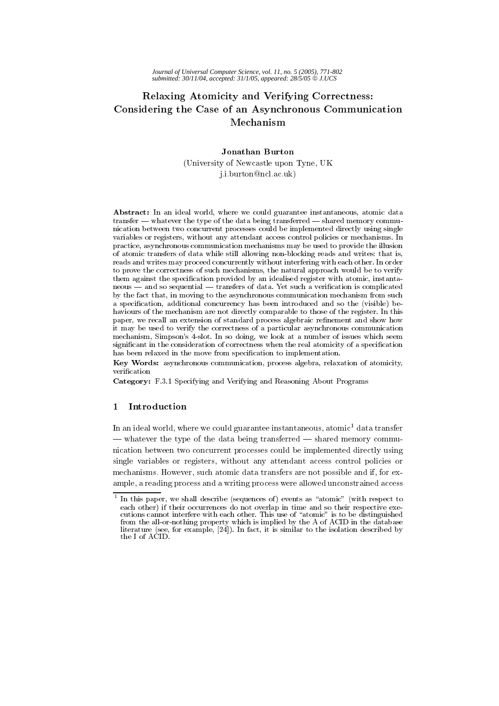# Relaxing Atomicity and Verifying Correctness: Considering the Case of an Asynchronous Communication Mechanism

# **Jonathan Burton**

(University of Newcastle upon Tyne, UK j.i.burton@ncl.ac.uk)

Abstract: In an ideal world, where we could guarantee instantaneous, atomic data transfer — whatever the type of the data being transferred — shared memory communication between two concurrent processes could be implemented directly using single variables or registers, without any attendant access control policies or mechanisms. In practice, asynchronous communication mechanisms may be used to provide the illusion of atomic transfers of data while still allowing non-blocking reads and writes: that is, reads and writes may proceed concurrently without interfering with each other. In order to prove the correctness of such mechanisms, the natural approach would be to verify them against the specification provided by an idealised register with atomic, instantaneous — and so sequential — transfers of data. Yet such a verification is complicated by the fact that, in moving to the asynchronous communication mechanism from such a specification, additional concurrency has been introduced and so the (visible) behaviours of the mechanism are not directly comparable to those of the register. In this paper, we recall an extension of standard process algebraic refinement and show how it may be used to verify the correctness of a particular asynchronous communication mechanism. Simpson's 4-slot. In so doing, we look at a number of issues which seem significant in the consideration of correctness when the real atomicity of a specification has been relaxed in the move from specification to implementation.

Key Words: asynchronous communication, process algebra, relaxation of atomicity. verification

Category: F.3.1 Specifying and Verifying and Reasoning About Programs

#### $\mathbf{1}$ Introduction

In an ideal world, where we could guarantee instantaneous, atomic<sup>1</sup> data transfer — whatever the type of the data being transferred — shared memory communication between two concurrent processes could be implemented directly using single variables or registers, without any attendant access control policies or mechanisms. However, such atomic data transfers are not possible and if, for example, a reading process and a writing process were allowed unconstrained access

 $1$  In this paper, we shall describe (sequences of) events as "atomic" (with respect to each other) if their occurrences do not overlap in time and so their respective executions cannot interfere with each other. This use of "atomic" is to be distinguished from the all-or-nothing property which is implied by the A of ACID in the database literature (see, for example,  $[24]$ ). In fact, it is similar to the isolation described by the L of ACID.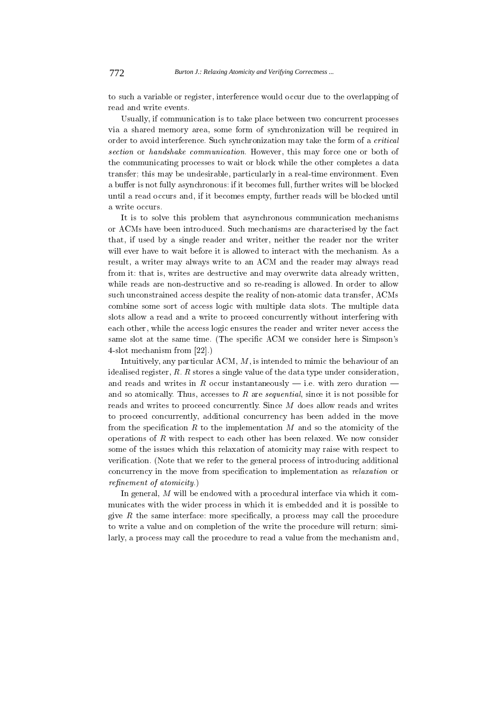to such a variable or register, interference would occur due to the overlapping of read and write events.

Usually, if communication is to take place between two concurrent processes via a shared memory area, some form of synchronization will be required in order to avoid interference. Such synchronization may take the form of a critical section or handshake communication. However, this may force one or both of the communicating processes to wait or block while the other completes a data transfer; this may be undesirable, particularly in a real-time environment. Even a buffer is not fully asynchronous: if it becomes full, further writes will be blocked until a read occurs and, if it becomes empty, further reads will be blocked until a write occurs.

It is to solve this problem that asynchronous communication mechanisms or ACMs have been introduced. Such mechanisms are characterised by the fact that, if used by a single reader and writer, neither the reader nor the writer will ever have to wait before it is allowed to interact with the mechanism. As a result, a writer may always write to an ACM and the reader may always read from it: that is, writes are destructive and may overwrite data already written, while reads are non-destructive and so re-reading is allowed. In order to allow such unconstrained access despite the reality of non-atomic data transfer, ACMs combine some sort of access logic with multiple data slots. The multiple data slots allow a read and a write to proceed concurrently without interfering with each other, while the access logic ensures the reader and writer never access the same slot at the same time. (The specific ACM we consider here is Simpson's  $4$ -slot mechanism from [22].)

Intuitively, any particular ACM,  $M$ , is intended to mimic the behaviour of an idealised register,  $R$ .  $R$  stores a single value of the data type under consideration, and reads and writes in R occur instantaneously – i.e. with zero duration – and so atomically. Thus, accesses to  $R$  are *sequential*, since it is not possible for reads and writes to proceed concurrently. Since  $M$  does allow reads and writes to proceed concurrently, additional concurrency has been added in the move from the specification  $R$  to the implementation  $M$  and so the atomicity of the operations of  $R$  with respect to each other has been relaxed. We now consider some of the issues which this relaxation of atomicity may raise with respect to verification. (Note that we refer to the general process of introducing additional concurrency in the move from specification to implementation as *relaxation* or  $refinement of atomicity.)$ 

In general,  $M$  will be endowed with a procedural interface via which it communicates with the wider process in which it is embedded and it is possible to give  $R$  the same interface: more specifically, a process may call the procedure to write a value and on completion of the write the procedure will return; similarly, a process may call the procedure to read a value from the mechanism and,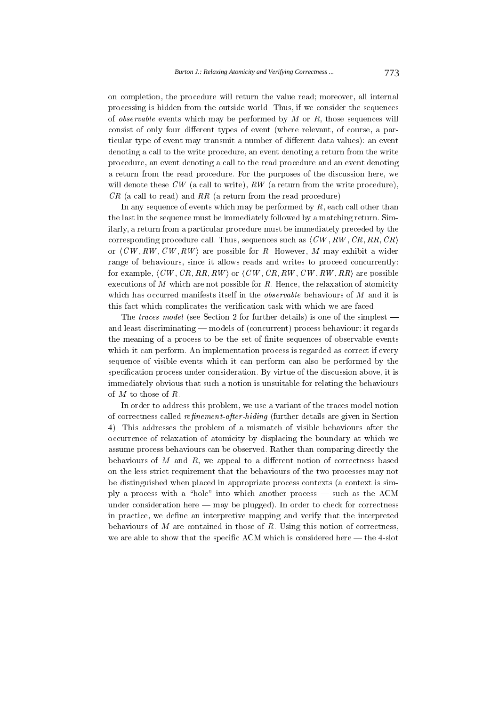on completion, the procedure will return the value read; moreover, all internal processing is hidden from the outside world. Thus, if we consider the sequences of *observable* events which may be performed by  $M$  or  $R$ , those sequences will consist of only four different types of event (where relevant, of course, a particular type of event may transmit a number of different data values): an event denoting a call to the write procedure, an event denoting a return from the write procedure, an event denoting a call to the read procedure and an event denoting a return from the read procedure. For the purposes of the discussion here, we will denote these  $CW$  (a call to write),  $RW$  (a return from the write procedure),  $CR$  (a call to read) and RR (a return from the read procedure).

In any sequence of events which may be performed by  $R$ , each call other than the last in the sequence must be immediately followed by a matching return. Similarly, a return from a particular procedure must be immediately preceded by the corresponding procedure call. Thus, sequences such as  $\langle CW, RW, CR, RR, CR \rangle$ or  $\langle CW, RW, CW, RW \rangle$  are possible for R. However, M may exhibit a wider range of behaviours, since it allows reads and writes to proceed concurrently: for example,  $\langle CW, CR, RR, RW \rangle$  or  $\langle CW, CR, RW, CW, RR \rangle$  are possible executions of  $M$  which are not possible for  $R$ . Hence, the relaxation of atomicity which has occurred manifests itself in the *observable* behaviours of M and it is this fact which complicates the verification task with which we are faced.

The traces model (see Section 2 for further details) is one of the simplest – and least discriminating — models of (concurrent) process behaviour: it regards the meaning of a process to be the set of finite sequences of observable events which it can perform. An implementation process is regarded as correct if every sequence of visible events which it can perform can also be performed by the specification process under consideration. By virtue of the discussion above, it is immediately obvious that such a notion is unsuitable for relating the behaviours of  $M$  to those of  $R$ .

In order to address this problem, we use a variant of the traces model notion of correctness called *refinement-after-hiding* (further details are given in Section 4). This addresses the problem of a mismatch of visible behaviours after the occurrence of relaxation of atomicity by displacing the boundary at which we assume process behaviours can be observed. Rather than comparing directly the behaviours of  $M$  and  $R$ , we appeal to a different notion of correctness based on the less strict requirement that the behaviours of the two processes may not be distinguished when placed in appropriate process contexts (a context is simply a process with a "hole" into which another process — such as the ACM under consideration here  $-$  may be plugged). In order to check for correctness in practice, we define an interpretive mapping and verify that the interpreted behaviours of  $M$  are contained in those of  $R$ . Using this notion of correctness, we are able to show that the specific ACM which is considered here  $-$  the 4-slot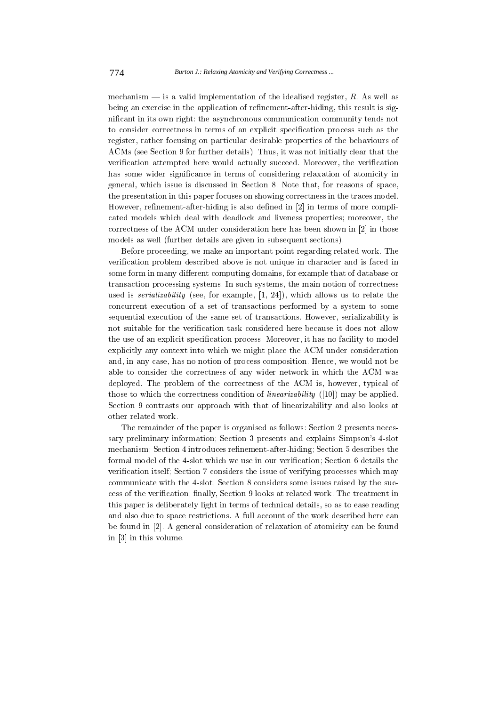mechanism  $-$  is a valid implementation of the idealised register, R. As well as being an exercise in the application of refinement-after-hiding, this result is significant in its own right: the asynchronous communication community tends not to consider correctness in terms of an explicit specification process such as the register, rather focusing on particular desirable properties of the behaviours of ACMs (see Section 9 for further details). Thus, it was not initially clear that the verification attempted here would actually succeed. Moreover, the verification has some wider significance in terms of considering relaxation of atomicity in general, which issue is discussed in Section 8. Note that, for reasons of space, the presentation in this paper focuses on showing correctness in the traces model. However, refinement-after-hiding is also defined in [2] in terms of more complicated models which deal with deadlock and liveness properties; moreover, the correctness of the ACM under consideration here has been shown in [2] in those models as well (further details are given in subsequent sections).

Before proceeding, we make an important point regarding related work. The verification problem described above is not unique in character and is faced in some form in many different computing domains, for example that of database or transaction-processing systems. In such systems, the main notion of correctness used is *serializability* (see, for example,  $[1, 24]$ ), which allows us to relate the concurrent execution of a set of transactions performed by a system to some sequential execution of the same set of transactions. However, serializability is not suitable for the verification task considered here because it does not allow the use of an explicit specification process. Moreover, it has no facility to model explicitly any context into which we might place the ACM under consideration and, in any case, has no notion of process composition. Hence, we would not be able to consider the correctness of any wider network in which the ACM was deployed. The problem of the correctness of the ACM is, however, typical of those to which the correctness condition of *linearizability* ([10]) may be applied. Section 9 contrasts our approach with that of linearizability and also looks at other related work.

The remainder of the paper is organised as follows: Section 2 presents necessary preliminary information; Section 3 presents and explains Simpson's 4-slot mechanism; Section 4 introduces refinement-after-hiding; Section 5 describes the formal model of the 4-slot which we use in our verification; Section 6 details the verification itself; Section 7 considers the issue of verifying processes which may communicate with the 4-slot: Section 8 considers some issues raised by the success of the verification; finally, Section 9 looks at related work. The treatment in this paper is deliberately light in terms of technical details, so as to ease reading and also due to space restrictions. A full account of the work described here can be found in [2]. A general consideration of relaxation of atomicity can be found in [3] in this volume.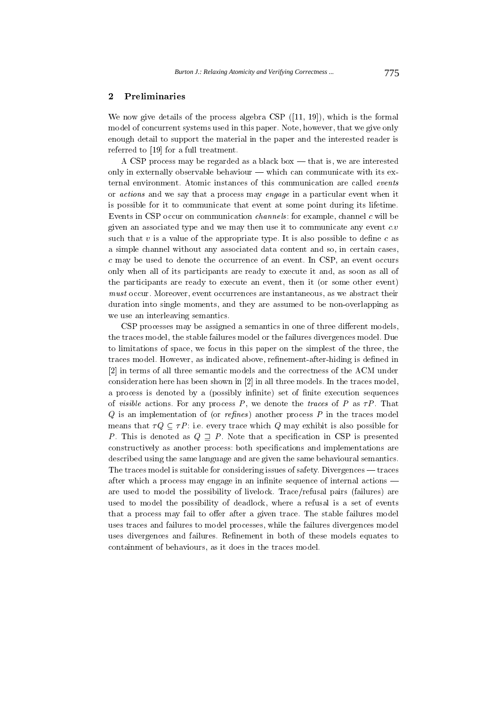#### $\overline{2}$ Preliminaries

We now give details of the process algebra CSP  $([11, 19])$ , which is the formal model of concurrent systems used in this paper. Note, however, that we give only enough detail to support the material in the paper and the interested reader is referred to [19] for a full treatment.

A CSP process may be regarded as a black box  $-$  that is, we are interested only in externally observable behaviour — which can communicate with its external environment. Atomic instances of this communication are called *events* or *actions* and we say that a process may *engage* in a particular event when it is possible for it to communicate that event at some point during its lifetime. Events in CSP occur on communication *channels*: for example, channel c will be given an associated type and we may then use it to communicate any event  $c.v$ such that  $v$  is a value of the appropriate type. It is also possible to define  $c$  as a simple channel without any associated data content and so, in certain cases,  $c$  may be used to denote the occurrence of an event. In CSP, an event occurs only when all of its participants are ready to execute it and, as soon as all of the participants are ready to execute an event, then it (or some other event) *must* occur. Moreover, event occurrences are instantaneous, as we abstract their duration into single moments, and they are assumed to be non-overlapping as we use an interleaving semantics.

CSP processes may be assigned a semantics in one of three different models. the traces model, the stable failures model or the failures divergences model. Due to limitations of space, we focus in this paper on the simplest of the three, the traces model. However, as indicated above, refinement-after-hiding is defined in [2] in terms of all three semantic models and the correctness of the ACM under consideration here has been shown in [2] in all three models. In the traces model, a process is denoted by a (possibly infinite) set of finite execution sequences of *visible* actions. For any process P, we denote the *traces* of P as  $\tau P$ . That  $Q$  is an implementation of (or *refines*) another process  $P$  in the traces model means that  $\tau Q \subseteq \tau P$ : i.e. every trace which Q may exhibit is also possible for P. This is denoted as  $Q \supseteq P$ . Note that a specification in CSP is presented constructively as another process: both specifications and implementations are described using the same language and are given the same behavioural semantics. The traces model is suitable for considering issues of safety. Divergences — traces after which a process may engage in an infinite sequence of internal actions are used to model the possibility of livelock. Trace/refusal pairs (failures) are used to model the possibility of deadlock, where a refusal is a set of events that a process may fail to offer after a given trace. The stable failures model uses traces and failures to model processes, while the failures divergences model uses divergences and failures. Refinement in both of these models equates to containment of behaviours, as it does in the traces model.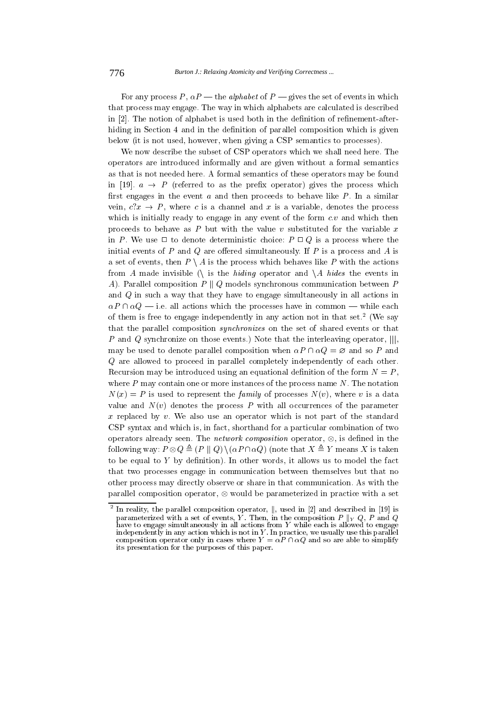For any process P,  $\alpha P$  — the *alphabet* of P — gives the set of events in which that process may engage. The way in which alphabets are calculated is described in [2]. The notion of alphabet is used both in the definition of refinement-afterhiding in Section 4 and in the definition of parallel composition which is given below (it is not used, however, when giving a CSP semantics to processes).

We now describe the subset of CSP operators which we shall need here. The operators are introduced informally and are given without a formal semantics as that is not needed here. A formal semantics of these operators may be found in [19].  $a \rightarrow P$  (referred to as the prefix operator) gives the process which first engages in the event  $a$  and then proceeds to behave like  $P$ . In a similar vein,  $c \, x \rightarrow P$ , where c is a channel and x is a variable, denotes the process which is initially ready to engage in any event of the form  $c.v$  and which then proceeds to behave as  $P$  but with the value  $v$  substituted for the variable  $x$ in P. We use  $\Box$  to denote deterministic choice:  $P \Box Q$  is a process where the initial events of  $P$  and  $Q$  are offered simultaneously. If  $P$  is a process and  $A$  is a set of events, then  $P \setminus A$  is the process which behaves like P with the actions from A made invisible (\ is the hiding operator and \A hides the events in A). Parallel composition  $P \parallel Q$  models synchronous communication between P and Q in such a way that they have to engage simultaneously in all actions in  $\alpha P \cap \alpha Q$  - i.e. all actions which the processes have in common - while each of them is free to engage independently in any action not in that set.<sup>2</sup> (We say that the parallel composition *synchronizes* on the set of shared events or that P and Q synchronize on those events.) Note that the interleaving operator,  $|||$ , may be used to denote parallel composition when  $\alpha P \cap \alpha Q = \varnothing$  and so P and  $Q$  are allowed to proceed in parallel completely independently of each other. Recursion may be introduced using an equational definition of the form  $N = P$ . where  $P$  may contain one or more instances of the process name  $N$ . The notation  $N(x) = P$  is used to represent the *family* of processes  $N(v)$ , where v is a data value and  $N(v)$  denotes the process P with all occurrences of the parameter  $x$  replaced by  $v$ . We also use an operator which is not part of the standard CSP syntax and which is, in fact, shorthand for a particular combination of two operators already seen. The *network composition* operator,  $\otimes$ , is defined in the following way:  $P \otimes Q \triangleq (P \parallel Q) \setminus (\alpha P \cap \alpha Q)$  (note that  $X \triangleq Y$  means X is taken to be equal to  $Y$  by definition). In other words, it allows us to model the fact that two processes engage in communication between themselves but that no other process may directly observe or share in that communication. As with the parallel composition operator,  $\otimes$  would be parameterized in practice with a set

<sup>&</sup>lt;sup>2</sup> In reality, the parallel composition operator,  $\parallel$ , used in [2] and described in [19] is parameterized with a set of events, Y. Then, in the composition  $P ||_Y Q$ , P and Q have to engage simultaneously in all actions from Y while each is allowed to engage independently in any action which is not in Y. In practice, we usually use this parallel<br>composition operator only in cases where  $Y = \alpha P \cap \alpha Q$  and so are able to simplify its presentation for the purposes of this paper.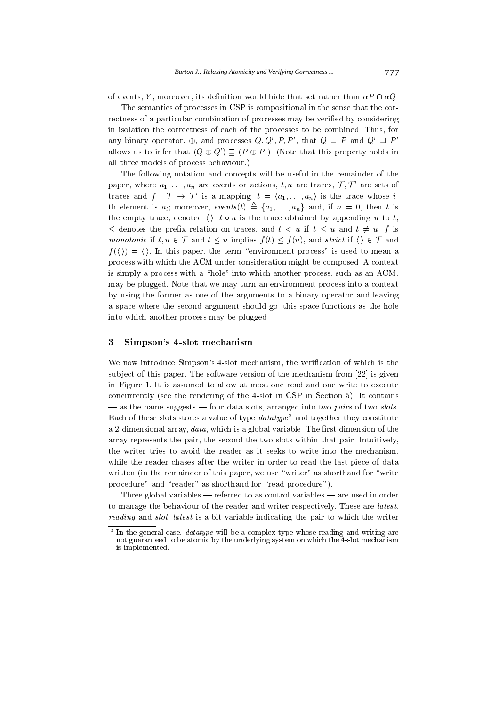of events, Y; moreover, its definition would hide that set rather than  $\alpha P \cap \alpha Q$ .

The semantics of processes in CSP is compositional in the sense that the correctness of a particular combination of processes may be verified by considering in isolation the correctness of each of the processes to be combined. Thus, for any binary operator,  $\oplus$ , and processes  $Q, Q', P, P'$ , that  $Q \supset P$  and  $Q' \supset P'$ allows us to infer that  $(Q \oplus Q') \sqsupset (P \oplus P')$ . (Note that this property holds in all three models of process behaviour.)

The following notation and concepts will be useful in the remainder of the paper, where  $a_1, \ldots, a_n$  are events or actions, t, u are traces,  $\mathcal{T}, \mathcal{T}'$  are sets of traces and  $f: \mathcal{T} \to \mathcal{T}'$  is a mapping:  $t = \langle a_1, \ldots, a_n \rangle$  is the trace whose *i*th element is  $a_i$ ; moreover, events  $(t) \triangleq \{a_1, \ldots, a_n\}$  and, if  $n = 0$ , then t is the empty trace, denoted  $\langle \cdot \rangle$ ;  $t \circ u$  is the trace obtained by appending u to t;  $\leq$  denotes the prefix relation on traces, and  $t < u$  if  $t \leq u$  and  $t \neq u$ ; f is monotonic if  $t, u \in \mathcal{T}$  and  $t \leq u$  implies  $f(t) \leq f(u)$ , and strict if  $\langle \rangle \in \mathcal{T}$  and  $f(\langle \rangle) = \langle \rangle$ . In this paper, the term "environment process" is used to mean a process with which the ACM under consideration might be composed. A context is simply a process with a "hole" into which another process, such as an ACM, may be plugged. Note that we may turn an environment process into a context by using the former as one of the arguments to a binary operator and leaving a space where the second argument should go: this space functions as the hole into which another process may be plugged.

#### $\bf{3}$ Simpson's 4-slot mechanism

We now introduce Simpson's 4-slot mechanism, the verification of which is the subject of this paper. The software version of the mechanism from [22] is given in Figure 1. It is assumed to allow at most one read and one write to execute concurrently (see the rendering of the 4-slot in CSP in Section 5). It contains  $\frac{1}{2}$  as the name suggests  $\frac{1}{2}$  four data slots, arranged into two pairs of two slots. Each of these slots stores a value of type  $\hat{datatype}^3$  and together they constitute a 2-dimensional array,  $data$ , which is a global variable. The first dimension of the array represents the pair, the second the two slots within that pair. Intuitively, the writer tries to avoid the reader as it seeks to write into the mechanism, while the reader chases after the writer in order to read the last piece of data written (in the remainder of this paper, we use "writer" as shorthand for "write procedure" and "reader" as shorthand for "read procedure").

Three global variables  $-$  referred to as control variables  $-$  are used in order to manage the behaviour of the reader and writer respectively. These are latest, reading and slot. latest is a bit variable indicating the pair to which the writer

In the general case, *datatype* will be a complex type whose reading and writing are not guaranteed to be atomic by the underlying system on which the 4-slot mechanism is implemented.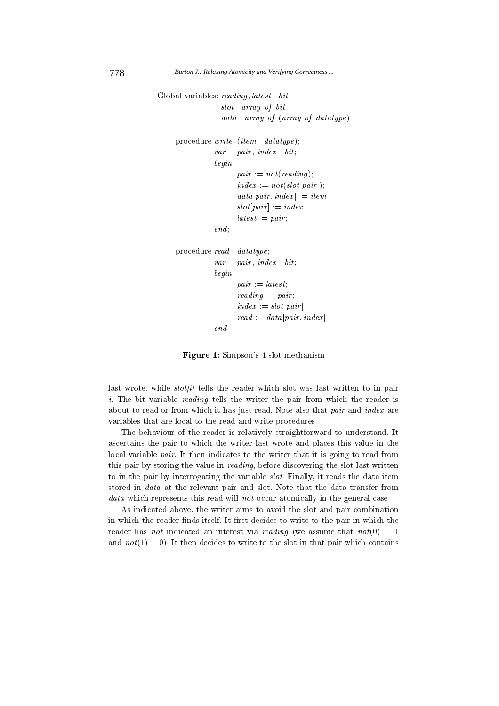```
H
 + -
	 -
  + -

                                       \cdot . The set of the set of the set of the set of the set of the set of the set of the set of the set of the set of the set of the set of the set of the set of the set of the set of the set of the set of the set of the s
                                       data: array of (array of datatype)\mathbf{r} . The contract of the contract of the contract of the contract of the contract of the contract of the contract of the contract of the contract of the contract of the contract of the contract of the contract of th
                                    -
  -
	 + -
 (
                                   -

                                                 \blacksquare . The contract of the contract of the contract of the contract of the contract of the contract of the contract of the contract of the contract of the contract of the contract of the contract of the contract of the 
                                                 -
	 +G 	  2-
 4(
                                                 2-
 -
 -
	 4 +G -

(
                                                  2-
 4 +G -
	 (
                                                  +G -
 (
                                   end;
  + (
                                    -
  -
	 + -
 (
                                   -

                                                 -
 +G  (
                                                 \mathbf{F} and \mathbf{F} and \mathbf{F} and \mathbf{F} and \mathbf{F} and \mathbf{F} and \mathbf{F} and \mathbf{F}-
	 +G  2-
 4(
                                                 +G 2-+G 2-+G 2-+G 2-+G 2-+G 2-+G 2-+G 2-+G 2-+G 2-+G 2-+G 2-+G 2-+G 2-+G 2-+G 2-+G 2-+G 2-+G 2-+G 2-+G 2-+G 2-+G 2-+G 2-+G 2-+G 2-+G 2-+G 2-+G 2-+G 2-+G 2-+G
                                   end
```
**Figure 1:** Simpson's 4-slot mechanism

 - - - - - 
  - - and the contract of the contract of the contract of the contract of the contract of the contract of the contract of the contract of the contract of the contract of the contract of the contract of the contract of the contra

 -- - 그 사이트 - 그 사이트 - 그 사이트 - 그 사이트 - 그 사이트 - 그 사이트 - 그 사이트 - 그 사이트 - 그 사이트 - 그 사이트 - 그 사이트 - 그 사이트 - 그 사이트 - 그 사이트  $\mathbf{r}$  -  $\mathbf{r}$  -  $\mathbf{r}$  -  $\mathbf{r}$  -  $\mathbf{r}$  -  $\mathbf{r}$  -  $\mathbf{r}$  $\mathbf{H}$  , and a set of  $\mathbf{H}$  , and a set of  $\mathbf{H}$  , and a set of  $\mathbf{H}$  , and a set of  $\mathbf{H}$  - - - 6- - - -  - - - -

, - 
 - - -- 
 /- / 
 - 
 - - - - > G = - = G > - 
 - 
 --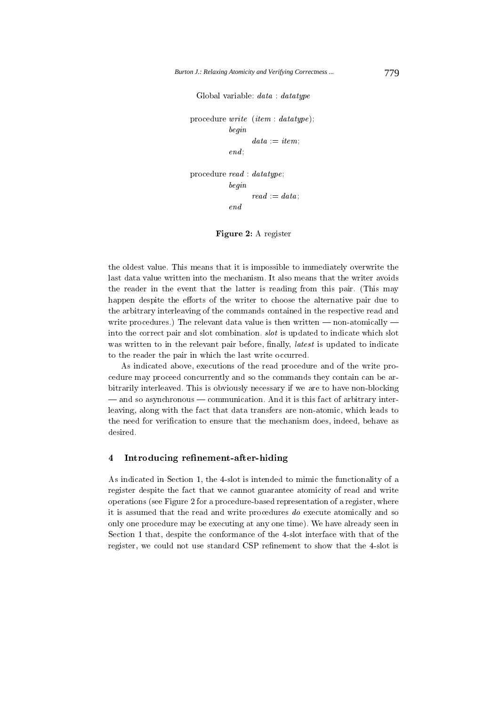Global variable: data : datatype

```
procedure write (item : datatype);
          begin
                data := item;end:
```
procedure  $read : d \n at a type$ begin  $read := data$  $end$ 

Figure 2: A register

the oldest value. This means that it is impossible to immediately overwrite the last data value written into the mechanism. It also means that the writer avoids the reader in the event that the latter is reading from this pair. (This may happen despite the efforts of the writer to choose the alternative pair due to the arbitrary interleaving of the commands contained in the respective read and write procedures.) The relevant data value is then written  $-$  non-atomically  $$ into the correct pair and slot combination. *slot* is updated to indicate which slot was written to in the relevant pair before, finally, *latest* is updated to indicate to the reader the pair in which the last write occurred.

As indicated above, executions of the read procedure and of the write procedure may proceed concurrently and so the commands they contain can be arbitrarily interleaved. This is obviously necessary if we are to have non-blocking — and so asynchronous — communication. And it is this fact of arbitrary interleaving, along with the fact that data transfers are non-atomic, which leads to the need for verification to ensure that the mechanism does, indeed, behave as desired.

#### $\overline{\mathbf{4}}$ Introducing refinement-after-hiding

As indicated in Section 1, the 4-slot is intended to mimic the functionality of a register despite the fact that we cannot guarantee atomicity of read and write operations (see Figure 2 for a procedure-based representation of a register, where it is assumed that the read and write procedures do execute atomically and so only one procedure may be executing at any one time). We have already seen in Section 1 that, despite the conformance of the 4-slot interface with that of the register, we could not use standard CSP refinement to show that the 4-slot is

779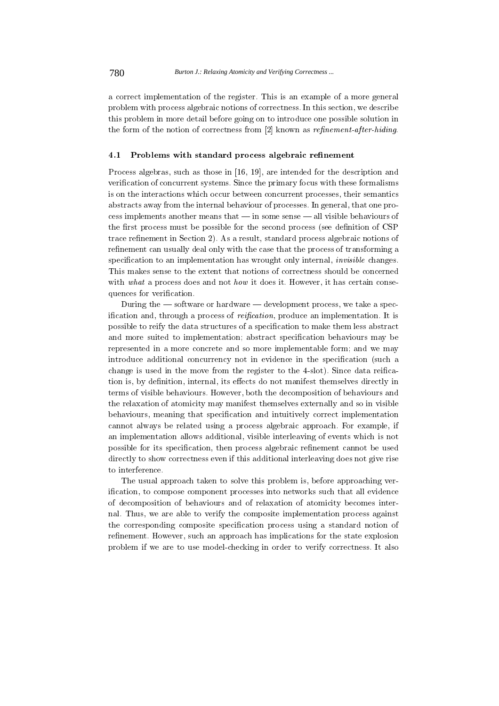a correct implementation of the register. This is an example of a more general problem with process algebraic notions of correctness. In this section, we describe this problem in more detail before going on to introduce one possible solution in the form of the notion of correctness from [2] known as refinement-after-hiding.

#### 4.1 Problems with standard process algebraic refinement

Process algebras, such as those in [16, 19], are intended for the description and verification of concurrent systems. Since the primary focus with these formalisms is on the interactions which occur between concurrent processes, their semantics abstracts away from the internal behaviour of processes. In general, that one pro- $\cos$  implements another means that  $\frac{1}{2}$  in some sense  $\frac{1}{2}$  all visible behaviours of the first process must be possible for the second process (see definition of CSP) trace refinement in Section 2). As a result, standard process algebraic notions of refinement can usually deal only with the case that the process of transforming a specification to an implementation has wrought only internal, *invisible* changes. This makes sense to the extent that notions of correctness should be concerned with what a process does and not how it does it. However, it has certain consequences for verification.

During the  $-$  software or hardware  $-$  development process, we take a specification and, through a process of *reification*, produce an implementation. It is possible to reify the data structures of a specification to make them less abstract and more suited to implementation; abstract specification behaviours may be represented in a more concrete and so more implementable form; and we may introduce additional concurrency not in evidence in the specification (such a change is used in the move from the register to the 4-slot). Since data reification is, by definition, internal, its effects do not manifest themselves directly in terms of visible behaviours. However, both the decomposition of behaviours and the relaxation of atomicity may manifest themselves externally and so in visible behaviours, meaning that specification and intuitively correct implementation cannot always be related using a process algebraic approach. For example, if an implementation allows additional, visible interleaving of events which is not possible for its specification, then process algebraic refinement cannot be used directly to show correctness even if this additional interleaving does not give rise to interference.

The usual approach taken to solve this problem is, before approaching verification, to compose component processes into networks such that all evidence of decomposition of behaviours and of relaxation of atomicity becomes internal. Thus, we are able to verify the composite implementation process against the corresponding composite specification process using a standard notion of refinement. However, such an approach has implications for the state explosion problem if we are to use model-checking in order to verify correctness. It also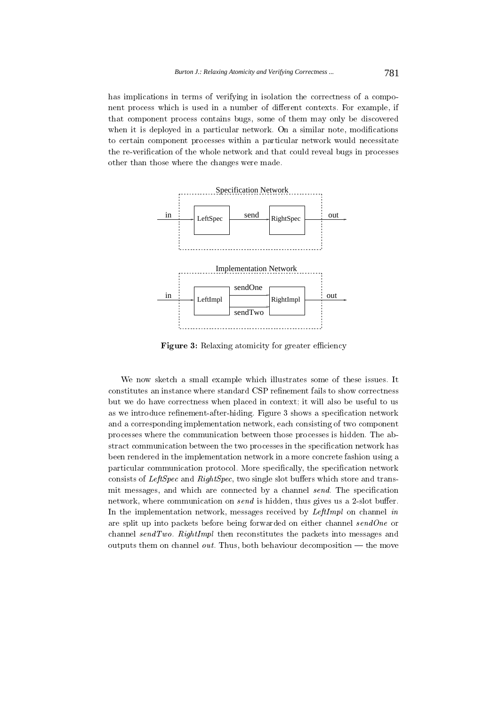has implications in terms of verifying in isolation the correctness of a component process which is used in a number of different contexts. For example, if that component process contains bugs, some of them may only be discovered when it is deployed in a particular network. On a similar note, modifications to certain component processes within a particular network would necessitate the re-verification of the whole network and that could reveal bugs in processes other than those where the changes were made.



**Figure 3:** Relaxing atomicity for greater efficiency

We now sketch a small example which illustrates some of these issues. It constitutes an instance where standard CSP refinement fails to show correctness but we do have correctness when placed in context; it will also be useful to us as we introduce refinement-after-hiding. Figure 3 shows a specification network and a corresponding implementation network, each consisting of two component processes where the communication between those processes is hidden. The abstract communication between the two processes in the specification network has been rendered in the implementation network in a more concrete fashion using a particular communication protocol. More specifically, the specification network consists of *LeftSpec* and *RightSpec*, two single slot buffers which store and transmit messages, and which are connected by a channel send. The specification network, where communication on *send* is hidden, thus gives us a 2-slot buffer. In the implementation network, messages received by LeftImpl on channel in are split up into packets before being forwarded on either channel  $sendOne$  or channel  $sendTwo$ . RightImpl then reconstitutes the packets into messages and outputs them on channel *out*. Thus, both behaviour decomposition  $-$  the move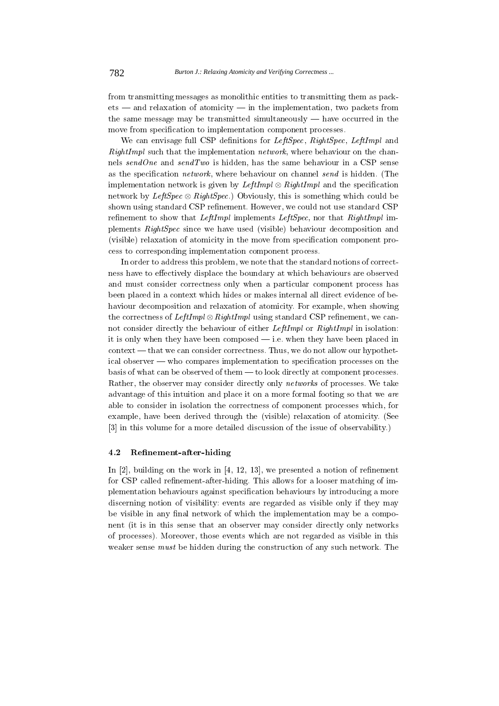from transmitting messages as monolithic entities to transmitting them as pack $ets$  — and relaxation of atomicity — in the implementation, two packets from the same message may be transmitted simultaneously  $-$  have occurred in the move from specification to implementation component processes.

We can envisage full CSP definitions for LeftSpec, RightSpec, LeftImpl and *RightImpl* such that the implementation *network*, where behaviour on the channels sendOne and sendTwo is hidden, has the same behaviour in a CSP sense as the specification *network*, where behaviour on channel *send* is hidden. (The implementation network is given by LeftImpl  $\otimes$  RightImpl and the specification network by LeftSpec  $\otimes$  RightSpec.) Obviously, this is something which could be shown using standard CSP refinement. However, we could not use standard CSP refinement to show that *LeftImpl* implements *LeftSpec*, nor that *RightImpl* implements *RightSpec* since we have used (visible) behaviour decomposition and (visible) relaxation of atomicity in the move from specification component process to corresponding implementation component process.

In order to address this problem, we note that the standard notions of correctness have to effectively displace the boundary at which behaviours are observed and must consider correctness only when a particular component process has been placed in a context which hides or makes internal all direct evidence of behaviour decomposition and relaxation of atomicity. For example, when showing the correctness of LeftImpl  $\otimes$  RightImpl using standard CSP refinement, we cannot consider directly the behaviour of either *LeftImpl* or *RightImpl* in isolation: it is only when they have been composed  $-$  i.e. when they have been placed in  $\text{context}$  — that we can consider correctness. Thus, we do not allow our hypothetical observer — who compares implementation to specification processes on the basis of what can be observed of them - to look directly at component processes. Rather, the observer may consider directly only *networks* of processes. We take advantage of this intuition and place it on a more formal footing so that we are able to consider in isolation the correctness of component processes which, for example, have been derived through the (visible) relaxation of atomicity. (See [3] in this volume for a more detailed discussion of the issue of observability.)

#### 4.2 Refinement-after-hiding

In  $[2]$ , building on the work in  $[4, 12, 13]$ , we presented a notion of refinement for CSP called refinement-after-hiding. This allows for a looser matching of implementation behaviours against specification behaviours by introducing a more discerning notion of visibility: events are regarded as visible only if they may be visible in any final network of which the implementation may be a component (it is in this sense that an observer may consider directly only networks of processes). Moreover, those events which are not regarded as visible in this weaker sense *must* be hidden during the construction of any such network. The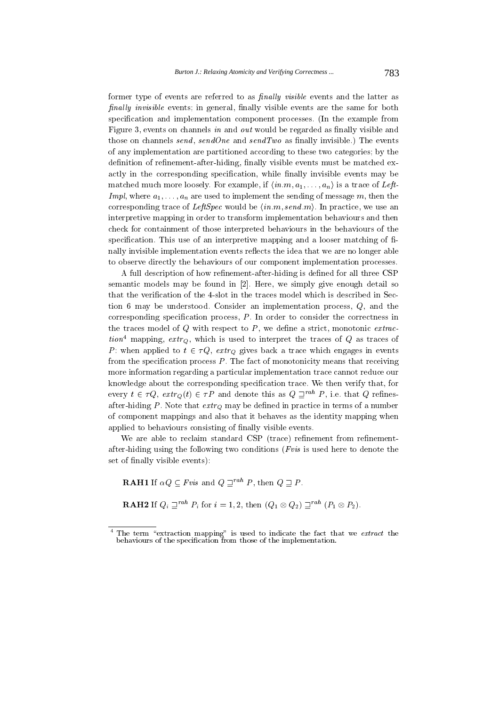former type of events are referred to as *finally visible* events and the latter as *finally invisible* events; in general, finally visible events are the same for both specification and implementation component processes. (In the example from Figure 3, events on channels in and out would be regarded as finally visible and those on channels send, sendOne and sendTwo as finally invisible.) The events of any implementation are partitioned according to these two categories; by the definition of refinement-after-hiding, finally visible events must be matched exactly in the corresponding specification, while finally invisible events may be matched much more loosely. For example, if  $\langle in.m, a_1, \ldots, a_n \rangle$  is a trace of Left-*Impl*, where  $a_1, \ldots, a_n$  are used to implement the sending of message m, then the corresponding trace of *LeftSpec* would be  $\langle in.m, send.m \rangle$ . In practice, we use an interpretive mapping in order to transform implementation behaviours and then check for containment of those interpreted behaviours in the behaviours of the specification. This use of an interpretive mapping and a looser matching of finally invisible implementation events reflects the idea that we are no longer able to observe directly the behaviours of our component implementation processes.

A full description of how refinement-after-hiding is defined for all three CSP semantic models may be found in [2]. Here, we simply give enough detail so that the verification of the 4-slot in the traces model which is described in Section 6 may be understood. Consider an implementation process,  $Q$ , and the corresponding specification process,  $P$ . In order to consider the correctness in the traces model of  $Q$  with respect to  $P$ , we define a strict, monotonic *extraction*<sup>4</sup> mapping,  $extr_Q$ , which is used to interpret the traces of  $Q$  as traces of P: when applied to  $t \in \tau Q$ ,  $ext_{Q}$  gives back a trace which engages in events from the specification process  $P$ . The fact of monotonicity means that receiving more information regarding a particular implementation trace cannot reduce our knowledge about the corresponding specification trace. We then verify that, for every  $t \in \tau Q$ ,  $extr_{Q}(t) \in \tau P$  and denote this as  $Q \sqsupseteq^{rah} P$ , i.e. that Q refinesafter-hiding P. Note that  $\exp_Q$  may be defined in practice in terms of a number of component mappings and also that it behaves as the identity mapping when applied to behaviours consisting of finally visible events.

We are able to reclaim standard CSP (trace) refinement from refinementafter-hiding using the following two conditions ( $Fvis$  is used here to denote the set of finally visible events):

**RAH1** If  $\alpha Q \subseteq Fvis$  and  $Q \sqsupset^{rah} P$ , then  $Q \sqsupset P$ .

**RAH2** If  $Q_i \sqsupseteq^{rah} P_i$  for  $i = 1, 2$ , then  $(Q_1 \otimes Q_2) \sqsupseteq^{rah} (P_1 \otimes P_2)$ .

 $4$  The term "extraction mapping" is used to indicate the fact that we extract the behaviours of the specification from those of the implementation.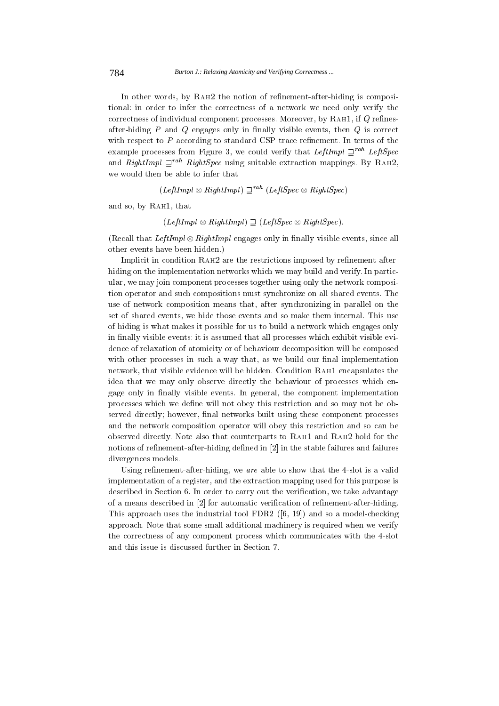In other words, by RAH2 the notion of refinement-after-hiding is compositional: in order to infer the correctness of a network we need only verify the correctness of individual component processes. Moreover, by RAH1, if  $Q$  refinesafter-hiding  $P$  and  $Q$  engages only in finally visible events, then  $Q$  is correct with respect to  $P$  according to standard CSP trace refinement. In terms of the example processes from Figure 3, we could verify that LeftImpl  $\Box^{rah}$  LeftSpec and RightImpl  $\Box^{rah}$  RightSpec using suitable extraction mappings. By RAH2, we would then be able to infer that

 $(LeftImpl \otimes RightImpl) \sqsupseteq^{rah} (LeftSpec \otimes RightSpec)$ 

and so, by RAH1, that

# $(LeftImpl \otimes RightImpl) \supset (LeftSpec \otimes RightSpec).$

(Recall that *LeftImpl*  $\otimes$  *RightImpl* engages only in finally visible events, since all other events have been hidden.)

Implicit in condition RAH2 are the restrictions imposed by refinement-afterhiding on the implementation networks which we may build and verify. In particular, we may join component processes together using only the network composition operator and such compositions must synchronize on all shared events. The use of network composition means that, after synchronizing in parallel on the set of shared events, we hide those events and so make them internal. This use of hiding is what makes it possible for us to build a network which engages only in finally visible events: it is assumed that all processes which exhibit visible evidence of relaxation of atomicity or of behaviour decomposition will be composed with other processes in such a way that, as we build our final implementation network, that visible evidence will be hidden. Condition RAH1 encapsulates the idea that we may only observe directly the behaviour of processes which engage only in finally visible events. In general, the component implementation processes which we define will not obey this restriction and so may not be observed directly; however, final networks built using these component processes and the network composition operator will obey this restriction and so can be observed directly. Note also that counterparts to RAH1 and RAH2 hold for the notions of refinement-after-hiding defined in [2] in the stable failures and failures divergences models.

Using refinement-after-hiding, we are able to show that the 4-slot is a valid implementation of a register, and the extraction mapping used for this purpose is described in Section 6. In order to carry out the verification, we take advantage of a means described in [2] for automatic verification of refinement-after-hiding. This approach uses the industrial tool FDR2  $([6, 19])$  and so a model-checking approach. Note that some small additional machinery is required when we verify the correctness of any component process which communicates with the 4-slot and this issue is discussed further in Section 7.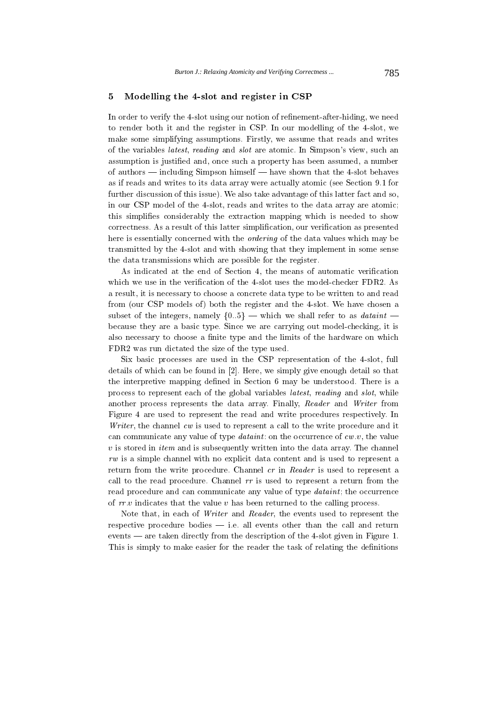#### Modelling the 4-slot and register in CSP  $\mathbf{5}$

In order to verify the 4-slot using our notion of refinement-after-hiding, we need to render both it and the register in CSP. In our modelling of the 4-slot, we make some simplifying assumptions. Firstly, we assume that reads and writes of the variables *latest*, *reading* and *slot* are atomic. In Simpson's view, such an assumption is justified and, once such a property has been assumed, a number of authors — including Simpson himself — have shown that the 4-slot behaves as if reads and writes to its data array were actually atomic (see Section 9.1 for further discussion of this issue). We also take advantage of this latter fact and so, in our CSP model of the 4-slot, reads and writes to the data array are atomic; this simplifies considerably the extraction mapping which is needed to show correctness. As a result of this latter simplification, our verification as presented here is essentially concerned with the *ordering* of the data values which may be transmitted by the 4-slot and with showing that they implement in some sense the data transmissions which are possible for the register.

As indicated at the end of Section 4, the means of automatic verification which we use in the verification of the 4-slot uses the model-checker FDR2. As a result, it is necessary to choose a concrete data type to be written to and read from (our CSP models of) both the register and the 4-slot. We have chosen a subset of the integers, namely  $\{0.5\}$  – which we shall refer to as *dataint* – because they are a basic type. Since we are carrying out model-checking, it is also necessary to choose a finite type and the limits of the hardware on which FDR2 was run dictated the size of the type used.

Six basic processes are used in the CSP representation of the 4-slot, full details of which can be found in [2]. Here, we simply give enough detail so that the interpretive mapping defined in Section 6 may be understood. There is a process to represent each of the global variables *latest*, *reading* and *slot*, while another process represents the data array. Finally, Reader and Writer from Figure 4 are used to represent the read and write procedures respectively. In Writer, the channel cw is used to represent a call to the write procedure and it can communicate any value of type *dataint*: on the occurrence of  $cw.v$ , the value  $v$  is stored in *item* and is subsequently written into the data array. The channel  $rw$  is a simple channel with no explicit data content and is used to represent a return from the write procedure. Channel cr in Reader is used to represent a call to the read procedure. Channel  $rr$  is used to represent a return from the read procedure and can communicate any value of type *dataint*; the occurrence of  $rr.v$  indicates that the value v has been returned to the calling process.

Note that, in each of Writer and Reader, the events used to represent the respective procedure bodies  $-$  i.e. all events other than the call and return events — are taken directly from the description of the 4-slot given in Figure 1. This is simply to make easier for the reader the task of relating the definitions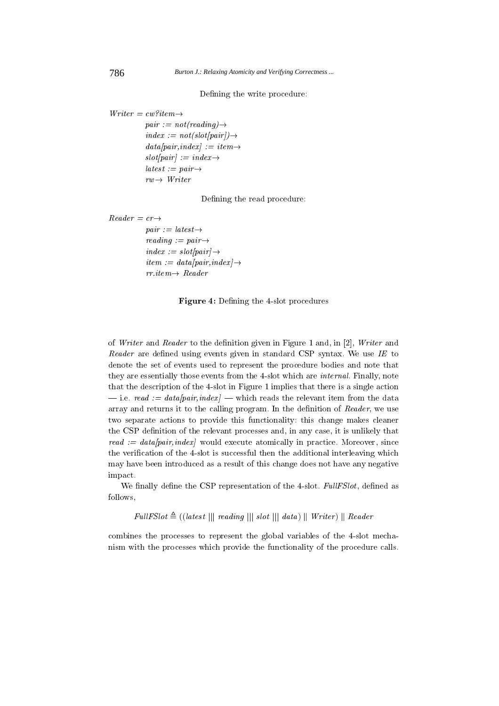Defining the write procedure:

 $Writer = cw?item \rightarrow$  $pair := not (reading) \rightarrow$  $index := not(slot(pair)) \rightarrow$  $data/pair, index$  := item  $\rightarrow$  $slot\text{pair}$  := index  $\rightarrow$  $\textit{lates} t := \textit{pair} \rightarrow$  $rw \rightarrow Writer$ 

Defining the read procedure:

```
Reader = cr \rightarrowpair := latest \rightarrowreading := pair \rightarrowindex := slot[pair] \rightarrowitem := data(pair, index) \rightarrowrr\text{.}item \rightarrow \text{Reader}
```
Figure 4: Defining the 4-slot procedures

of Writer and Reader to the definition given in Figure 1 and, in [2], Writer and Reader are defined using events given in standard CSP syntax. We use IE to denote the set of events used to represent the procedure bodies and note that they are essentially those events from the 4-slot which are *internal*. Finally, note that the description of the 4-slot in Figure 1 implies that there is a single action -i.e. read := data/pair,index} - which reads the relevant item from the data array and returns it to the calling program. In the definition of Reader, we use two separate actions to provide this functionality: this change makes cleaner the CSP definition of the relevant processes and, in any case, it is unlikely that read :=  $data[pair, index]$  would execute atomically in practice. Moreover, since the verification of the 4-slot is successful then the additional interleaving which may have been introduced as a result of this change does not have any negative impact.

We finally define the CSP representation of the 4-slot. FullFSlot, defined as follows,

 $FullFSlot \triangleq ( (latest \ || \ reading \ || \ slot \ || \ data) \ || \ Writer) \ || \ Reader$ 

combines the processes to represent the global variables of the 4-slot mechanism with the processes which provide the functionality of the procedure calls.

786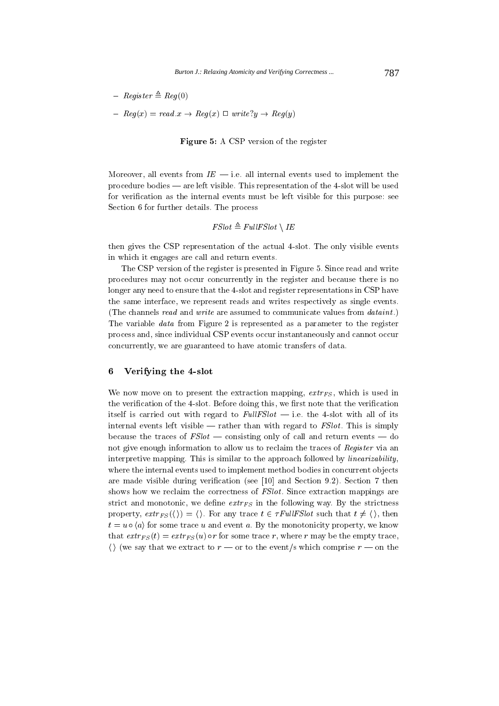- $-$  Register  $\triangleq$  Reg(0)
- $Reg(x) = read.x \rightarrow Reg(x) \square write? y \rightarrow Reg(y)$

Figure 5: A CSP version of the register

Moreover, all events from  $IE$  - i.e. all internal events used to implement the procedure bodies — are left visible. This representation of the 4-slot will be used for verification as the internal events must be left visible for this purpose: see Section 6 for further details. The process

$$
\mathit{FSlot} \triangleq \mathit{FullFSlot} \setminus \mathit{IE}
$$

then gives the CSP representation of the actual 4-slot. The only visible events in which it engages are call and return events.

The CSP version of the register is presented in Figure 5. Since read and write procedures may not occur concurrently in the register and because there is no longer any need to ensure that the 4-slot and register representations in CSP have the same interface, we represent reads and writes respectively as single events. (The channels read and write are assumed to communicate values from dataint.) The variable *data* from Figure 2 is represented as a parameter to the register process and, since individual CSP events occur instantaneously and cannot occur concurrently, we are guaranteed to have atomic transfers of data.

#### $\bf{6}$ Verifying the 4-slot

We now move on to present the extraction mapping,  $extr_{FS}$ , which is used in the verification of the 4-slot. Before doing this, we first note that the verification itself is carried out with regard to  $FullFSlot$  - i.e. the 4-slot with all of its internal events left visible  $-$  rather than with regard to  $FSlot$ . This is simply because the traces of  $FSlot$  — consisting only of call and return events — do not give enough information to allow us to reclaim the traces of Register via an interpretive mapping. This is similar to the approach followed by *linearizability*, where the internal events used to implement method bodies in concurrent objects are made visible during verification (see [10] and Section 9.2). Section 7 then shows how we reclaim the correctness of *FSlot*. Since extraction mappings are strict and monotonic, we define  $extr_Fs$  in the following way. By the strictness property,  $extr_{FS}(\langle\rangle) = \langle\rangle$ . For any trace  $t \in \tau \text{FullFSlot}$  such that  $t \neq \langle\rangle$ , then  $t = u \circ \langle a \rangle$  for some trace u and event a. By the monotonicity property, we know that  $extr_{FS}(t) = extr_{FS}(u) \circ r$  for some trace r, where r may be the empty trace,  $\langle \rangle$  (we say that we extract to  $r \rightharpoonup$  or to the event/s which comprise  $r \rightharpoonup$  on the

787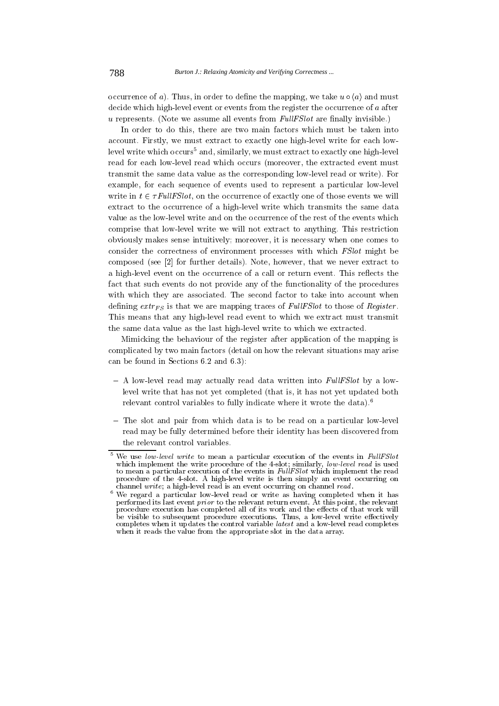occurrence of a). Thus, in order to define the mapping, we take  $u \circ \langle a \rangle$  and must decide which high-level event or events from the register the occurrence of a after  $u$  represents. (Note we assume all events from  $FullFSlot$  are finally invisible.)

In order to do this, there are two main factors which must be taken into account. Firstly, we must extract to exactly one high-level write for each lowlevel write which occurs<sup>5</sup> and, similarly, we must extract to exactly one high-level read for each low-level read which occurs (moreover, the extracted event must transmit the same data value as the corresponding low-level read or write). For example, for each sequence of events used to represent a particular low-level write in  $t \in \tau \text{FullF}$ Slot, on the occurrence of exactly one of those events we will extract to the occurrence of a high-level write which transmits the same data value as the low-level write and on the occurrence of the rest of the events which comprise that low-level write we will not extract to anything. This restriction obviously makes sense intuitively; moreover, it is necessary when one comes to consider the correctness of environment processes with which FSlot might be composed (see [2] for further details). Note, however, that we never extract to a high-level event on the occurrence of a call or return event. This reflects the fact that such events do not provide any of the functionality of the procedures with which they are associated. The second factor to take into account when defining  $extr_F$  is that we are mapping traces of FullFSlot to those of Register. This means that any high-level read event to which we extract must transmit the same data value as the last high-level write to which we extracted.

Mimicking the behaviour of the register after application of the mapping is complicated by two main factors (detail on how the relevant situations may arise can be found in Sections 6.2 and 6.3):

- A low-level read may actually read data written into FullFSlot by a lowlevel write that has not yet completed (that is, it has not yet updated both relevant control variables to fully indicate where it wrote the data).<sup>6</sup>
- The slot and pair from which data is to be read on a particular low-level read may be fully determined before their identity has been discovered from the relevant control variables.

 $5$  We use low-level write to mean a particular execution of the events in FullFSlot which implement the write procedure of the 4-slot; similarly, low-level read is used to mean a particular execution of the events in FullFSlot which implement the read procedure of the 4-slot. A high-level write is then simply an event occurring on channel write; a high-level read is an event occurring on channel read.

<sup>&</sup>lt;sup>6</sup> We regard a particular low-level read or write as having completed when it has performed its last event *prior* to the relevant return event. At this point, the relevant procedure execution has completed all of its work and the effects of that work will be visible to subsequent procedure executions. Thus, a low-level write effectively completes when it updates the control variable latest and a low-level read completes when it reads the value from the appropriate slot in the data array.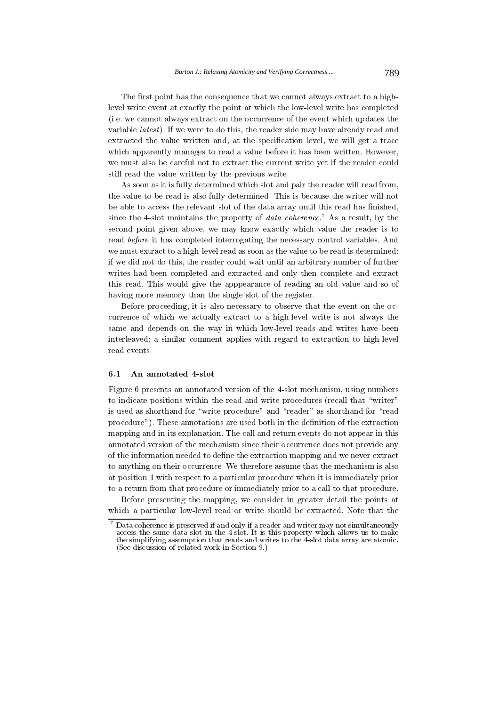The first point has the consequence that we cannot always extract to a highlevel write event at exactly the point at which the low-level write has completed (i.e. we cannot always extract on the occurrence of the event which updates the variable *latest*). If we were to do this, the reader side may have already read and extracted the value written and, at the specification level, we will get a trace which apparently manages to read a value before it has been written. However, we must also be careful not to extract the current write yet if the reader could still read the value written by the previous write.

As soon as it is fully determined which slot and pair the reader will read from, the value to be read is also fully determined. This is because the writer will not be able to access the relevant slot of the data array until this read has finished, since the 4-slot maintains the property of *data coherence*.<sup>7</sup> As a result, by the second point given above, we may know exactly which value the reader is to read before it has completed interrogating the necessary control variables. And we must extract to a high-level read as soon as the value to be read is determined: if we did not do this, the reader could wait until an arbitrary number of further writes had been completed and extracted and only then complete and extract this read. This would give the apppearance of reading an old value and so of having more memory than the single slot of the register.

Before proceeding, it is also necessary to observe that the event on the occurrence of which we actually extract to a high-level write is not always the same and depends on the way in which low-level reads and writes have been interleaved; a similar comment applies with regard to extraction to high-level read events.

#### $6.1$ An annotated 4-slot

Figure 6 presents an annotated version of the 4-slot mechanism, using numbers to indicate positions within the read and write procedures (recall that "writer" is used as shorthand for "write procedure" and "reader" as shorthand for "read procedure"). These annotations are used both in the definition of the extraction mapping and in its explanation. The call and return events do not appear in this annotated version of the mechanism since their occurrence does not provide any of the information needed to define the extraction mapping and we never extract to anything on their occurrence. We therefore assume that the mechanism is also at position 1 with respect to a particular procedure when it is immediately prior to a return from that procedure or immediately prior to a call to that procedure.

Before presenting the mapping, we consider in greater detail the points at which a particular low-level read or write should be extracted. Note that the

 $7$  Data coherence is preserved if and only if a reader and writer may not simultaneously access the same data slot in the 4-slot. It is this property which allows us to make the simplifying assumption that reads and writes to the 4-slot data array are atomic. (See discussion of related work in Section 9.)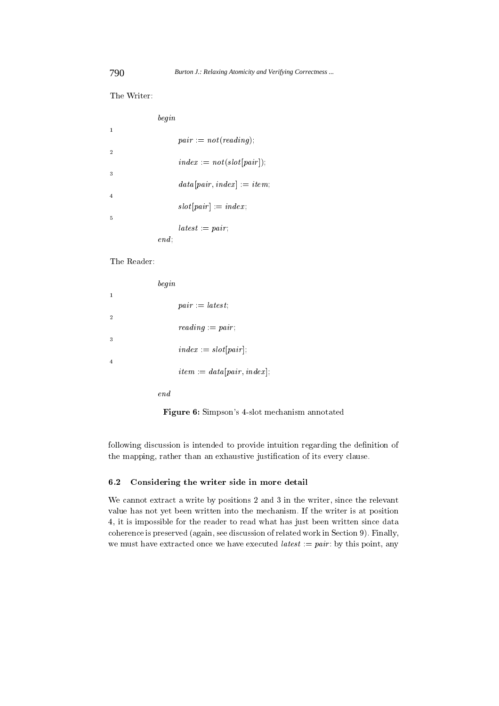The Writer:

- 

|                |      | $pair := not (reading).$             |
|----------------|------|--------------------------------------|
| $\overline{2}$ |      |                                      |
|                |      | $index = not(slot[pair]).$           |
| 3              |      |                                      |
|                |      | $data[pair, index] := item$          |
| $\overline{4}$ |      |                                      |
|                |      | $slot[pair] := index;$               |
| 5              |      |                                      |
|                |      | $\mathit{lates} t := \mathit{pair};$ |
|                | end: |                                      |

The Reader:

- - +G (  $\overline{2}$ - +G - ( -- +G 2- 4(  $\blacksquare$  . The contract of the contract of the contract of the contract of the contract of the contract of the contract of the contract of the contract of the contract of the contract of the contract of the contract of the  $end$ 

**Figure 6:** Simpson's 4-slot mechanism annotated

 - - -- - - - /- - - - - \$ / - 

### $\sim$  .  $\sim$  0.1.0.0.0.1.1, 0.1.0  $\sim$  0.1.0.0.1 0.1.0.0.1 0.0.0.1.1.

 $\mathbf{J} = \mathbf{I} \mathbf{S}$  - - 
- - - 
 -1 
 - 
- coherence is preserved (again, see discussion of related work in Section 9). Finally, \$ - 
 \$ +G - + - - 

 $\bar{1}$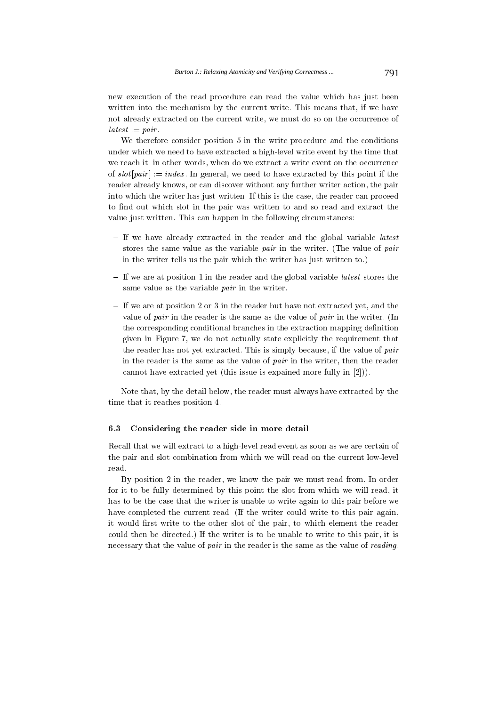new execution of the read procedure can read the value which has just been written into the mechanism by the current write. This means that, if we have not already extracted on the current write, we must do so on the occurrence of  $\mathit{lates} t := \mathit{pair}.$ 

We therefore consider position 5 in the write procedure and the conditions under which we need to have extracted a high-level write event by the time that we reach it: in other words, when do we extract a write event on the occurrence of  $slot[pair] := index$ . In general, we need to have extracted by this point if the reader already knows, or can discover without any further writer action, the pair into which the writer has just written. If this is the case, the reader can proceed to find out which slot in the pair was written to and so read and extract the value just written. This can happen in the following circumstances:

- If we have already extracted in the reader and the global variable *latest* stores the same value as the variable pair in the writer. (The value of pair in the writer tells us the pair which the writer has just written to.)
- $-$  If we are at position 1 in the reader and the global variable *latest* stores the same value as the variable *pair* in the writer.
- If we are at position 2 or 3 in the reader but have not extracted yet, and the value of pair in the reader is the same as the value of pair in the writer. (In the corresponding conditional branches in the extraction mapping definition given in Figure 7, we do not actually state explicitly the requirement that the reader has not yet extracted. This is simply because, if the value of pair in the reader is the same as the value of pair in the writer, then the reader cannot have extracted yet (this issue is expained more fully in  $[2]$ )).

Note that, by the detail below, the reader must always have extracted by the time that it reaches position 4.

#### Considering the reader side in more detail  $6.3$

Recall that we will extract to a high-level read event as soon as we are certain of the pair and slot combination from which we will read on the current low-level read

By position 2 in the reader, we know the pair we must read from. In order for it to be fully determined by this point the slot from which we will read, it has to be the case that the writer is unable to write again to this pair before we have completed the current read. (If the writer could write to this pair again, it would first write to the other slot of the pair, to which element the reader could then be directed.) If the writer is to be unable to write to this pair, it is necessary that the value of pair in the reader is the same as the value of reading.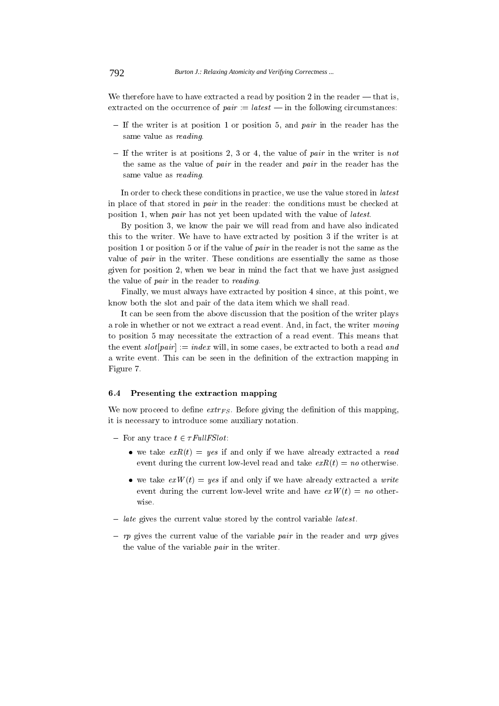We therefore have to have extracted a read by position 2 in the reader  $-$  that is, extracted on the occurrence of  $pair := latest - in$  the following circumstances:

- If the writer is at position 1 or position 5, and *pair* in the reader has the same value as reading
- If the writer is at positions 2, 3 or 4, the value of pair in the writer is not the same as the value of pair in the reader and pair in the reader has the same value as reading.

In order to check these conditions in practice, we use the value stored in *latest* in place of that stored in pair in the reader: the conditions must be checked at position 1, when pair has not yet been updated with the value of latest.

By position 3, we know the pair we will read from and have also indicated this to the writer. We have to have extracted by position 3 if the writer is at position 1 or position 5 or if the value of pair in the reader is not the same as the value of pair in the writer. These conditions are essentially the same as those given for position 2, when we bear in mind the fact that we have just assigned the value of *pair* in the reader to *reading*.

Finally, we must always have extracted by position 4 since, at this point, we know both the slot and pair of the data item which we shall read.

It can be seen from the above discussion that the position of the writer plays a role in whether or not we extract a read event. And, in fact, the writer moving to position 5 may necessitate the extraction of a read event. This means that the event  $slot[pair] := index$  will, in some cases, be extracted to both a read and a write event. This can be seen in the definition of the extraction mapping in Figure 7.

#### $6.4$ Presenting the extraction mapping

We now proceed to define  $extr_{FS}$ . Before giving the definition of this mapping, it is necessary to introduce some auxiliary notation.

- For any trace  $t \in \tau$  Full FSlot:
	- we take  $exR(t) = yes$  if and only if we have already extracted a read event during the current low-level read and take  $exR(t) = no$  otherwise.
	- we take  $exW(t) = yes$  if and only if we have already extracted a write event during the current low-level write and have  $exW(t) = no$  otherwise
- $\frac{1}{x}$  *late* gives the current value stored by the control variable *latest*.
- rp gives the current value of the variable pair in the reader and  $wrp$  gives the value of the variable *pair* in the writer.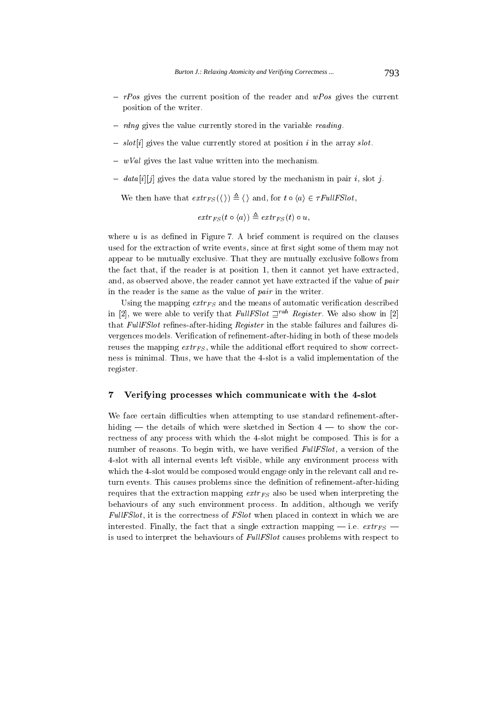- $rPos$  gives the current position of the reader and  $wPos$  gives the current position of the writer.
- $-$  rdng gives the value currently stored in the variable reading.
- $-$  slot[i] gives the value currently stored at position i in the array slot.
- $-$  wVal gives the last value written into the mechanism.
- $-$  data [i][j] gives the data value stored by the mechanism in pair i, slot j.

We then have that  $extr_{FS}(\langle \rangle) \triangleq \langle \rangle$  and, for  $t \circ \langle a \rangle \in \tau FullFSlot$ ,

$$
extr_{FS}(t \circ \langle a \rangle) \triangleq extr_{FS}(t) \circ u
$$

where  $u$  is as defined in Figure 7. A brief comment is required on the clauses used for the extraction of write events, since at first sight some of them may not appear to be mutually exclusive. That they are mutually exclusive follows from the fact that, if the reader is at position 1, then it cannot yet have extracted, and, as observed above, the reader cannot yet have extracted if the value of pair in the reader is the same as the value of pair in the writer.

Using the mapping  $extr_Fs$  and the means of automatic verification described in [2], we were able to verify that FullFSlot  $\mathbb{Z}^{rab}$  Register. We also show in [2] that FullFSlot refines-after-hiding Register in the stable failures and failures divergences models. Verification of refinement-after-hiding in both of these models reuses the mapping  $extr_{FS}$ , while the additional effort required to show correctness is minimal. Thus, we have that the 4-slot is a valid implementation of the register.

#### $\overline{7}$ Verifying processes which communicate with the 4-slot

We face certain difficulties when attempting to use standard refinement-afterhiding — the details of which were sketched in Section  $4 -$  to show the correctness of any process with which the 4-slot might be composed. This is for a number of reasons. To begin with, we have verified FullFSlot, a version of the 4-slot with all internal events left visible, while any environment process with which the 4-slot would be composed would engage only in the relevant call and return events. This causes problems since the definition of refinement-after-hiding requires that the extraction mapping  $extr_{FS}$  also be used when interpreting the behaviours of any such environment process. In addition, although we verify FullFSlot, it is the correctness of FSlot when placed in context in which we are interested. Finally, the fact that a single extraction mapping – i.e.  $extr_Fs$  – is used to interpret the behaviours of FullFSlot causes problems with respect to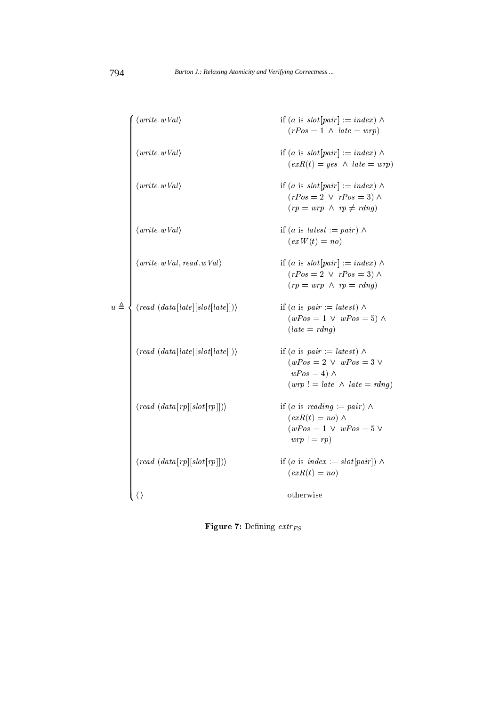|               | $\langle write \, wVal \rangle$                                                                                                  | if (a is $slot[pair] := index) \wedge$<br>$(rPos = 1 \land late = wrp)$                                                          |
|---------------|----------------------------------------------------------------------------------------------------------------------------------|----------------------------------------------------------------------------------------------------------------------------------|
|               | $\langle write \, wVal \rangle$                                                                                                  | if (a is $slot[pair] := index) \wedge$<br>$(exR(t) = yes \land late = wrp)$                                                      |
|               | $\langle write \, wVal \rangle$                                                                                                  | if (a is $slot[pair] := index) \wedge$<br>$(rPos = 2 \lor rPos = 3) \land$<br>$(rp = wrp \land rp \neq rdnq)$                    |
|               | $\langle write \, wVal \rangle$                                                                                                  | if (a is latest := pair) $\wedge$<br>$(exW(t) = no)$                                                                             |
|               | $\langle write \,.wVal, \, read. \, wVal \rangle$                                                                                | if (a is $slot[pair] := index) \wedge$<br>$(rPos = 2 \lor rPos = 3) \land$<br>$(rp = wrp \land rp = rdng)$                       |
| $u\triangleq$ | $\langle read.\left( \mathit{data}\left[\mathit{late}\right]\left[\mathit{slot}\left[\mathit{late}\right]\right]\right) \rangle$ | if (a is pair := latest) $\wedge$<br>$(wPos = 1 \lor wPos = 5) \land$<br>$(late = rdng)$                                         |
|               | $\langle read. (data[late][slot[late]] ) \rangle$                                                                                | if (a is pair := latest) $\wedge$<br>$(wPos = 2 \lor wPos = 3 \lor$<br>$wPos = 4) \wedge$<br>$(wrp)! = late \wedge late = rdnq)$ |
|               | $\langle \text{read.}(\text{data}[\text{rp}][\text{slot}[\text{rp}]]) \rangle$                                                   | if (a is reading $:= pair) \wedge$<br>$(exR(t) = no) \wedge$<br>$(wPos = 1 \lor wPos = 5 \lor$<br>$wrp := rp$                    |
|               | $\langle \text{read.}(\text{data}[\text{rp}][\text{slot}[\text{rp}]]) \rangle$                                                   | if (a is index := slot[pair]) $\wedge$<br>$(exR(t) = no)$                                                                        |
|               | $\langle \rangle$                                                                                                                | ot her wise                                                                                                                      |

**Figure 7:** Defining  $extr_{FS}$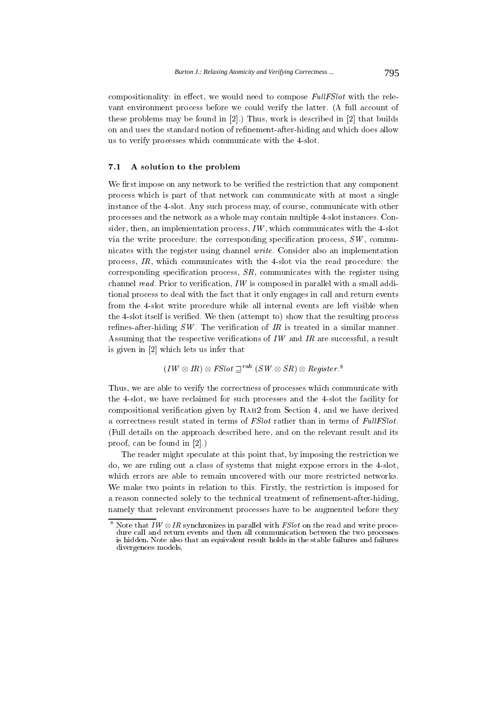compositionality: in effect, we would need to compose FullFSlot with the relevant environment process before we could verify the latter. (A full account of these problems may be found in [2].) Thus, work is described in [2] that builds on and uses the standard notion of refinement-after-hiding and which does allow us to verify processes which communicate with the 4-slot.

#### A solution to the problem  $7.1$

We first impose on any network to be verified the restriction that any component process which is part of that network can communicate with at most a single instance of the 4-slot. Any such process may, of course, communicate with other processes and the network as a whole may contain multiple 4-slot instances. Consider, then, an implementation process,  $IW$ , which communicates with the 4-slot via the write procedure; the corresponding specification process,  $SW$ , communicates with the register using channel *write*. Consider also an implementation process,  $IR$ , which communicates with the 4-slot via the read procedure; the corresponding specification process,  $SR$ , communicates with the register using channel  $read$ . Prior to verification,  $IW$  is composed in parallel with a small additional process to deal with the fact that it only engages in call and return events from the 4-slot write procedure while all internal events are left visible when the 4-slot itself is verified. We then (attempt to) show that the resulting process refines-after-hiding  $SW$ . The verification of IR is treated in a similar manner. Assuming that the respective verifications of  $IW$  and  $IR$  are successful, a result is given in  $[2]$  which lets us infer that

$$
(IW \otimes IR) \otimes FSlot \sqsupseteq^{rah} (SW \otimes SR) \otimes Register.^8
$$

Thus, we are able to verify the correctness of processes which communicate with the 4-slot, we have reclaimed for such processes and the 4-slot the facility for compositional verification given by RAH2 from Section 4, and we have derived a correctness result stated in terms of FSlot rather than in terms of FullFSlot. (Full details on the approach described here, and on the relevant result and its proof, can be found in  $[2]$ .)

The reader might speculate at this point that, by imposing the restriction we do, we are ruling out a class of systems that might expose errors in the 4-slot, which errors are able to remain uncovered with our more restricted networks. We make two points in relation to this. Firstly, the restriction is imposed for a reason connected solely to the technical treatment of refinement-after-hiding, namely that relevant environment processes have to be augmented before they

Note that  $IW \otimes IR$  synchronizes in parallel with *FSlot* on the read and write procedure call and return events and then all communication between the two processes is hidden. Note also that an equivalent result holds in the stable failures and failures divergences models.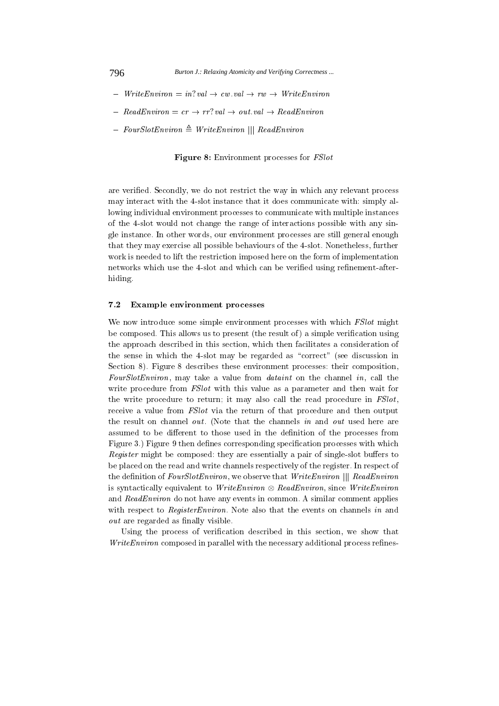- $-$  Write Environ = in?val  $\rightarrow cw$  val  $\rightarrow rw \rightarrow Write Environment$
- $-$  ReadEnviron = cr  $\rightarrow$  rr?val  $\rightarrow$  out.val  $\rightarrow$  ReadEnviron
- $-$  FourSlotEnviron  $\triangleq$  WriteEnviron || ReadEnviron

**Figure 8:** Environment processes for *FSlot* 

are verified. Secondly, we do not restrict the way in which any relevant process may interact with the 4-slot instance that it does communicate with: simply allowing individual environment processes to communicate with multiple instances of the 4-slot would not change the range of interactions possible with any single instance. In other words, our environment processes are still general enough that they may exercise all possible behaviours of the 4-slot. Nonetheless, further work is needed to lift the restriction imposed here on the form of implementation networks which use the 4-slot and which can be verified using refinement-afterhiding.

#### $7.2$ Example environment processes

We now introduce some simple environment processes with which *FSlot* might be composed. This allows us to present (the result of) a simple verification using the approach described in this section, which then facilitates a consideration of the sense in which the 4-slot may be regarded as "correct" (see discussion in Section 8). Figure 8 describes these environment processes: their composition, FourSlotEnviron, may take a value from *dataint* on the channel in, call the write procedure from *FSlot* with this value as a parameter and then wait for the write procedure to return; it may also call the read procedure in *FSlot*, receive a value from *FSlot* via the return of that procedure and then output the result on channel *out*. (Note that the channels in and *out* used here are assumed to be different to those used in the definition of the processes from Figure 3.) Figure 9 then defines corresponding specification processes with which *Register* might be composed: they are essentially a pair of single-slot buffers to be placed on the read and write channels respectively of the register. In respect of the definition of FourSlotEnviron, we observe that WriteEnviron || ReadEnviron is syntactically equivalent to Write Environ  $\otimes$  ReadEnviron, since Write Environ and ReadEnviron do not have any events in common. A similar comment applies with respect to *Register Environ*. Note also that the events on channels in and *out* are regarded as finally visible.

Using the process of verification described in this section, we show that Write Environ composed in parallel with the necessary additional process refines-

796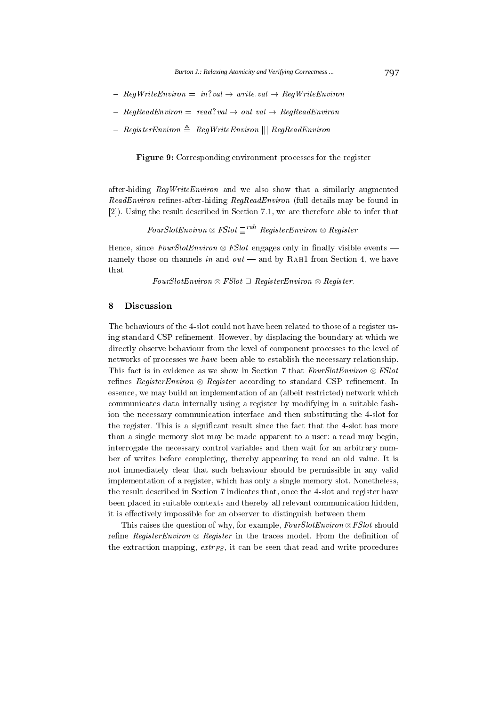- $-$  RegWriteEnviron = in?val  $\rightarrow$  write.val  $\rightarrow$  RegWriteEnviron
- $-$  RegReadEnviron = read?val  $\rightarrow$  out.val  $\rightarrow$  RegReadEnviron
- $-$  Register Environ  $\triangleq$  Reg Write Environ  $|||$  Reg Read Environ

**Figure 9:** Corresponding environment processes for the register

after-hiding  $\text{RegWriteEnvironment}$  and we also show that a similarly augmented ReadEnviron refines-after-hiding RegReadEnviron (full details may be found in [2]). Using the result described in Section 7.1, we are therefore able to infer that

FourSlotEnviron  $\otimes$  FSlot  $\Box^{rah}$  RegisterEnviron  $\otimes$  Register.

Hence, since FourSlotEnviron  $\otimes$  FSlot engages only in finally visible events – namely those on channels in and  $out$  — and by RAH1 from Section 4, we have that

FourSlotEnviron  $\otimes$  FSlot  $\supseteq$  RegisterEnviron  $\otimes$  Register.

#### 8 **Discussion**

The behaviours of the 4-slot could not have been related to those of a register using standard CSP refinement. However, by displacing the boundary at which we directly observe behaviour from the level of component processes to the level of networks of processes we have been able to establish the necessary relationship. This fact is in evidence as we show in Section 7 that  $FourSlotEnvironment \otimes FSlot$ refines Register Environ  $\otimes$  Register according to standard CSP refinement. In essence, we may build an implementation of an (albeit restricted) network which communicates data internally using a register by modifying in a suitable fashion the necessary communication interface and then substituting the 4-slot for the register. This is a significant result since the fact that the 4-slot has more than a single memory slot may be made apparent to a user: a read may begin, interrogate the necessary control variables and then wait for an arbitrary number of writes before completing, thereby appearing to read an old value. It is not immediately clear that such behaviour should be permissible in any valid implementation of a register, which has only a single memory slot. Nonetheless, the result described in Section 7 indicates that, once the 4-slot and register have been placed in suitable contexts and thereby all relevant communication hidden, it is effectively impossible for an observer to distinguish between them.

This raises the question of why, for example,  $FourSlotEnvironment \otimes FSlot$  should refine Register Environ  $\otimes$  Register in the traces model. From the definition of the extraction mapping,  $extr_{FS}$ , it can be seen that read and write procedures

797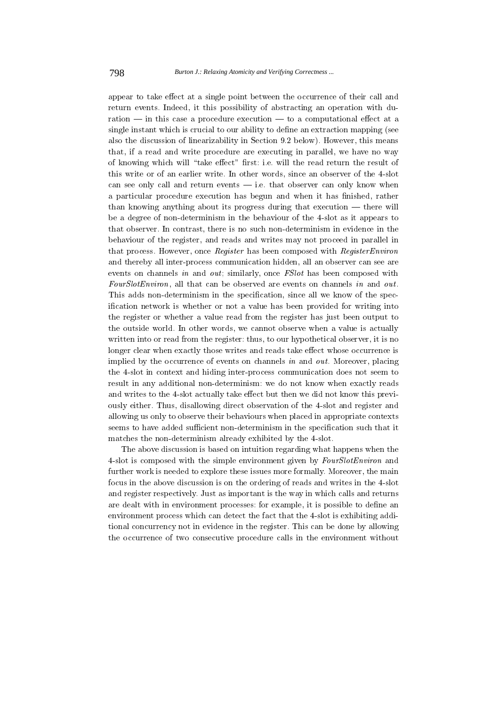appear to take effect at a single point between the occurrence of their call and return events. Indeed, it this possibility of abstracting an operation with duration — in this case a procedure execution — to a computational effect at a single instant which is crucial to our ability to define an extraction mapping (see also the discussion of linearizability in Section 9.2 below). However, this means that, if a read and write procedure are executing in parallel, we have no way of knowing which will "take effect" first: i.e. will the read return the result of this write or of an earlier write. In other words, since an observer of the 4-slot can see only call and return events  $-$  i.e. that observer can only know when a particular procedure execution has begun and when it has finished, rather than knowing anything about its progress during that execution  $-$  there will be a degree of non-determinism in the behaviour of the 4-slot as it appears to that observer. In contrast, there is no such non-determinism in evidence in the behaviour of the register, and reads and writes may not proceed in parallel in that process. However, once Register has been composed with Register Environ and thereby all inter-process communication hidden, all an observer can see are events on channels in and out; similarly, once FSlot has been composed with *FourSlotEnviron*, all that can be observed are events on channels in and out. This adds non-determinism in the specification, since all we know of the specification network is whether or not a value has been provided for writing into the register or whether a value read from the register has just been output to the outside world. In other words, we cannot observe when a value is actually written into or read from the register: thus, to our hypothetical observer, it is no longer clear when exactly those writes and reads take effect whose occurrence is implied by the occurrence of events on channels in and out. Moreover, placing the 4-slot in context and hiding inter-process communication does not seem to result in any additional non-determinism: we do not know when exactly reads and writes to the 4-slot actually take effect but then we did not know this previously either. Thus, disallowing direct observation of the 4-slot and register and allowing us only to observe their behaviours when placed in appropriate contexts seems to have added sufficient non-determinism in the specification such that it matches the non-determinism already exhibited by the 4-slot.

The above discussion is based on intuition regarding what happens when the 4-slot is composed with the simple environment given by FourSlotEnviron and further work is needed to explore these issues more formally. Moreover, the main focus in the above discussion is on the ordering of reads and writes in the 4-slot and register respectively. Just as important is the way in which calls and returns are dealt with in environment processes: for example, it is possible to define an environment process which can detect the fact that the 4-slot is exhibiting additional concurrency not in evidence in the register. This can be done by allowing the occurrence of two consecutive procedure calls in the environment without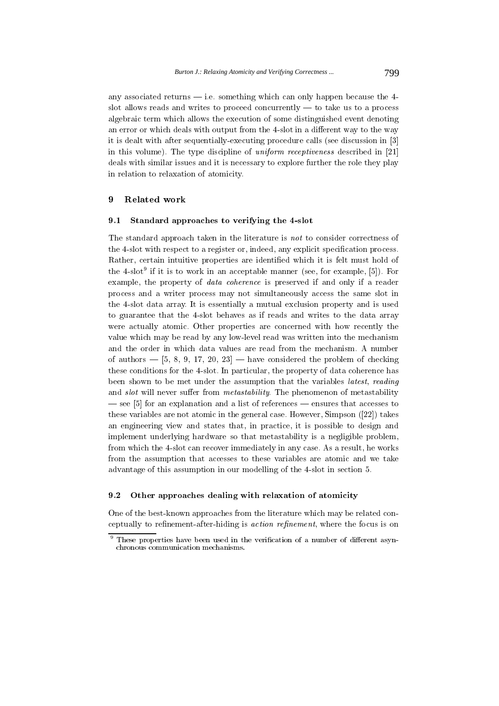any associated returns  $-$  i.e. something which can only happen because the 4slot allows reads and writes to proceed concurrently  $-$  to take us to a process algebraic term which allows the execution of some distinguished event denoting an error or which deals with output from the 4-slot in a different way to the way it is dealt with after sequentially-executing procedure calls (see discussion in [3] in this volume). The type discipline of *uniform receptiveness* described in [21] deals with similar issues and it is necessary to explore further the role they play in relation to relaxation of atomicity.

#### $\boldsymbol{\Omega}$ Related work

#### Standard approaches to verifying the 4-slot  $9.1$

The standard approach taken in the literature is not to consider correctness of the 4-slot with respect to a register or, indeed, any explicit specification process. Rather, certain intuitive properties are identified which it is felt must hold of the  $4$ -slot<sup>9</sup> if it is to work in an acceptable manner (see, for example, [5]). For example, the property of *data coherence* is preserved if and only if a reader process and a writer process may not simultaneously access the same slot in the 4-slot data array. It is essentially a mutual exclusion property and is used to guarantee that the 4-slot behaves as if reads and writes to the data array were actually atomic. Other properties are concerned with how recently the value which may be read by any low-level read was written into the mechanism and the order in which data values are read from the mechanism. A number of authors  $-$  [5, 8, 9, 17, 20, 23]  $-$  have considered the problem of checking these conditions for the 4-slot. In particular, the property of data coherence has been shown to be met under the assumption that the variables *latest, reading* and *slot* will never suffer from *metastability*. The phenomenon of metastability  $-$  see [5] for an explanation and a list of references  $-$  ensures that accesses to these variables are not atomic in the general case. However, Simpson ([22]) takes an engineering view and states that, in practice, it is possible to design and implement underlying hardware so that metastability is a negligible problem, from which the 4-slot can recover immediately in any case. As a result, he works from the assumption that accesses to these variables are atomic and we take advantage of this assumption in our modelling of the 4-slot in section 5.

#### $9.2$ Other approaches dealing with relaxation of atomicity

One of the best-known approaches from the literature which may be related conceptually to refinement-after-hiding is *action refinement*, where the focus is on

<sup>&</sup>lt;sup>9</sup> These properties have been used in the verification of a number of different asynchronous communication mechanisms.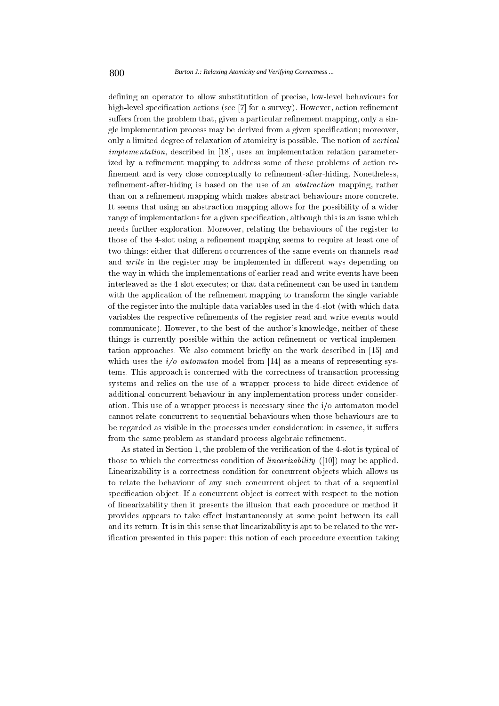defining an operator to allow substitutition of precise, low-level behaviours for high-level specification actions (see [7] for a survey). However, action refinement suffers from the problem that, given a particular refinement mapping, only a single implementation process may be derived from a given specification; moreover, only a limited degree of relaxation of atomicity is possible. The notion of vertical *implementation*, described in [18], uses an implementation relation parameterized by a refinement mapping to address some of these problems of action refinement and is very close conceptually to refinement-after-hiding. Nonetheless, refinement-after-hiding is based on the use of an *abstraction* mapping, rather than on a refinement mapping which makes abstract behaviours more concrete. It seems that using an abstraction mapping allows for the possibility of a wider range of implementations for a given specification, although this is an issue which needs further exploration. Moreover, relating the behaviours of the register to those of the 4-slot using a refinement mapping seems to require at least one of two things: either that different occurrences of the same events on channels read and write in the register may be implemented in different ways depending on the way in which the implementations of earlier read and write events have been interleaved as the 4-slot executes; or that data refinement can be used in tandem with the application of the refinement mapping to transform the single variable of the register into the multiple data variables used in the 4-slot (with which data variables the respective refinements of the register read and write events would communicate). However, to the best of the author's knowledge, neither of these things is currently possible within the action refinement or vertical implementation approaches. We also comment briefly on the work described in [15] and which uses the  $i/o$  *automaton* model from [14] as a means of representing systems. This approach is concerned with the correctness of transaction-processing systems and relies on the use of a wrapper process to hide direct evidence of additional concurrent behaviour in any implementation process under consideration. This use of a wrapper process is necessary since the i/o automaton model cannot relate concurrent to sequential behaviours when those behaviours are to be regarded as visible in the processes under consideration: in essence, it suffers from the same problem as standard process algebraic refinement.

As stated in Section 1, the problem of the verification of the 4-slot is typical of those to which the correctness condition of *linearizability* ([10]) may be applied. Linearizability is a correctness condition for concurrent objects which allows us to relate the behaviour of any such concurrent object to that of a sequential specification object. If a concurrent object is correct with respect to the notion of linearizability then it presents the illusion that each procedure or method it provides appears to take effect instantaneously at some point between its call and its return. It is in this sense that linearizability is apt to be related to the verification presented in this paper: this notion of each procedure execution taking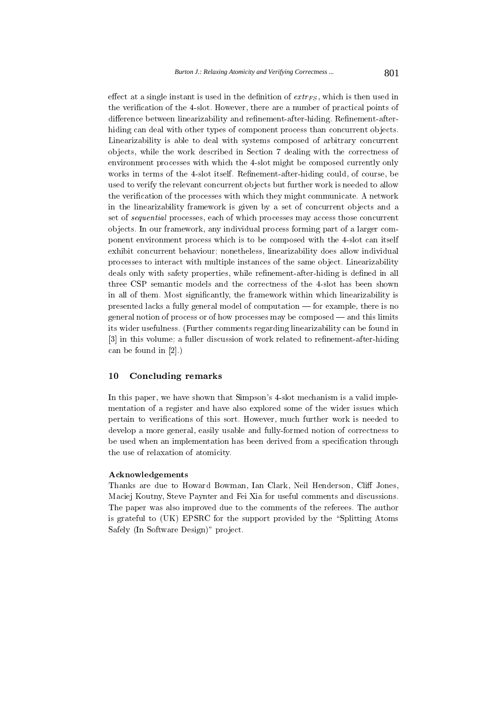effect at a single instant is used in the definition of  $extr_{FS}$ , which is then used in the verification of the 4-slot. However, there are a number of practical points of difference between linearizability and refinement-after-hiding. Refinement-afterhiding can deal with other types of component process than concurrent objects. Linearizability is able to deal with systems composed of arbitrary concurrent objects, while the work described in Section 7 dealing with the correctness of environment processes with which the 4-slot might be composed currently only works in terms of the 4-slot itself. Refinement-after-hiding could, of course, be used to verify the relevant concurrent objects but further work is needed to allow the verification of the processes with which they might communicate. A network in the linearizability framework is given by a set of concurrent objects and a set of *sequential* processes, each of which processes may access those concurrent objects. In our framework, any individual process forming part of a larger component environment process which is to be composed with the 4-slot can itself exhibit concurrent behaviour; nonetheless, linearizability does allow individual processes to interact with multiple instances of the same object. Linearizability deals only with safety properties, while refinement-after-hiding is defined in all three CSP semantic models and the correctness of the 4-slot has been shown in all of them. Most significantly, the framework within which linearizability is presented lacks a fully general model of computation  $-$  for example, there is no general notion of process or of how processes may be composed — and this limits its wider usefulness. (Further comments regarding linearizability can be found in [3] in this volume; a fuller discussion of work related to refinement-after-hiding can be found in  $[2]$ .)

#### 10 Concluding remarks

In this paper, we have shown that Simpson's 4-slot mechanism is a valid implementation of a register and have also explored some of the wider issues which pertain to verifications of this sort. However, much further work is needed to develop a more general, easily usable and fully-formed notion of correctness to be used when an implementation has been derived from a specification through the use of relaxation of atomicity.

# Acknowledgements

Thanks are due to Howard Bowman, Ian Clark, Neil Henderson, Cliff Jones, Maciej Koutny, Steve Paynter and Fei Xia for useful comments and discussions. The paper was also improved due to the comments of the referees. The author is grateful to (UK) EPSRC for the support provided by the "Splitting Atoms Safely (In Software Design)" project.